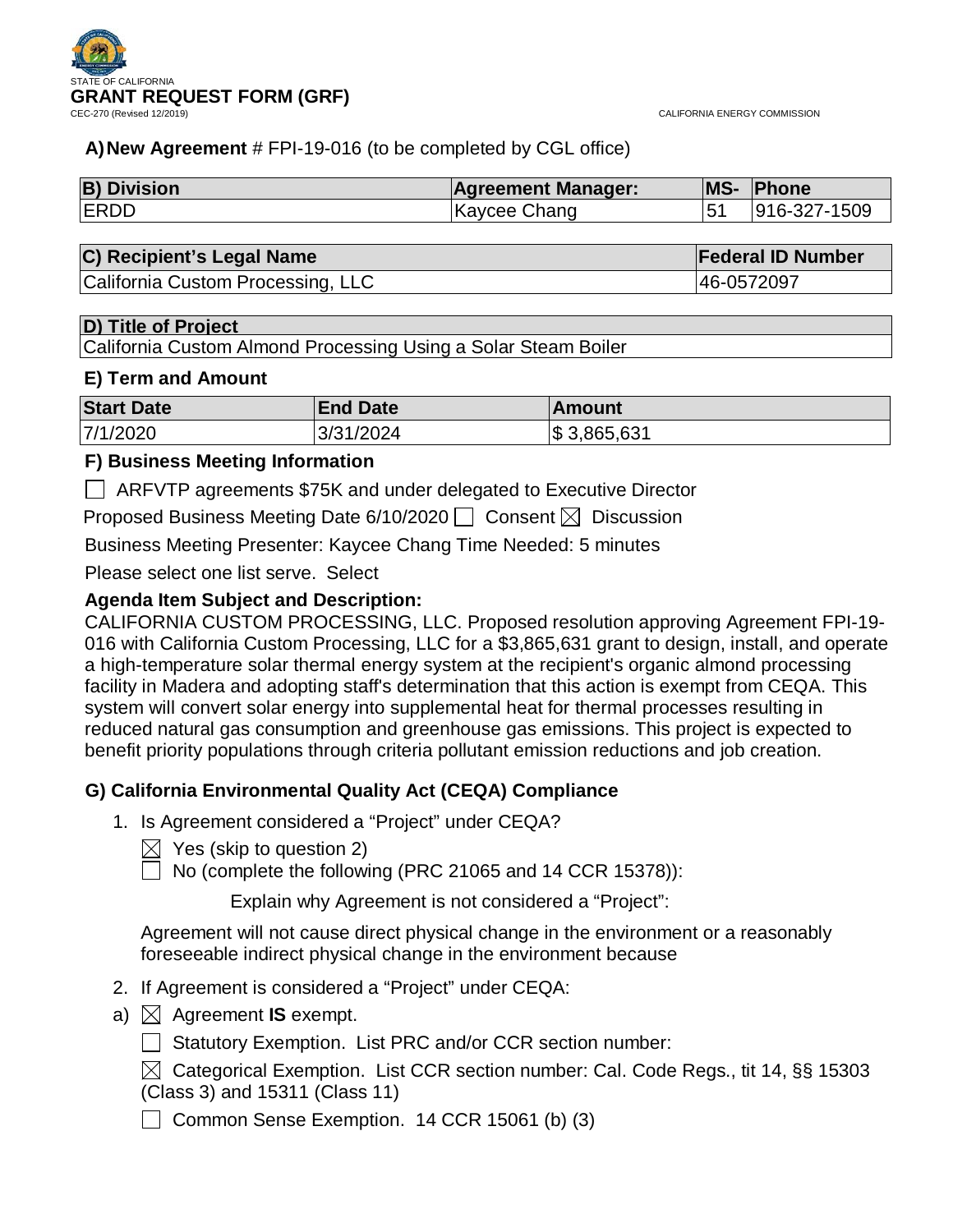

## **A)New Agreement** # FPI-19-016 (to be completed by CGL office)

| <b>B) Division</b> | <b>Agreement Manager:</b> | <b>IMS-</b> | <b>Phone</b> |
|--------------------|---------------------------|-------------|--------------|
| <b>ERDD</b>        | Kaycee Chang              |             | 916-327-1509 |

|   |  |  | C) Recipient's Legal Name |  | <b>Federal ID Number</b> |
|---|--|--|---------------------------|--|--------------------------|
| . |  |  |                           |  | $\overline{\phantom{a}}$ |

|California Custom Processing, LLC 46-0572097|

### **D) Title of Project**

California Custom Almond Processing Using a Solar Steam Boiler

#### **E) Term and Amount**

| <b>Start Date</b> | <b>End Date</b> | <b>Amount</b>   |
|-------------------|-----------------|-----------------|
| 7/1/2020          | 3/31/2024       | $\$\,3,865,631$ |

## **F) Business Meeting Information**

ARFVTP agreements \$75K and under delegated to Executive Director

Proposed Business Meeting Date 6/10/2020  $\Box$  Consent  $\boxtimes$  Discussion

Business Meeting Presenter: Kaycee Chang Time Needed: 5 minutes

Please select one list serve. Select

## **Agenda Item Subject and Description:**

CALIFORNIA CUSTOM PROCESSING, LLC. Proposed resolution approving Agreement FPI-19- 016 with California Custom Processing, LLC for a \$3,865,631 grant to design, install, and operate a high-temperature solar thermal energy system at the recipient's organic almond processing facility in Madera and adopting staff's determination that this action is exempt from CEQA. This system will convert solar energy into supplemental heat for thermal processes resulting in reduced natural gas consumption and greenhouse gas emissions. This project is expected to benefit priority populations through criteria pollutant emission reductions and job creation.

## **G) California Environmental Quality Act (CEQA) Compliance**

- 1. Is Agreement considered a "Project" under CEQA?
	- $\boxtimes$  Yes (skip to question 2)

 $\Box$  No (complete the following (PRC 21065 and 14 CCR 15378)):

Explain why Agreement is not considered a "Project":

Agreement will not cause direct physical change in the environment or a reasonably foreseeable indirect physical change in the environment because

- 2. If Agreement is considered a "Project" under CEQA:
- a)  $\boxtimes$  Agreement **IS** exempt.
	- □ Statutory Exemption. List PRC and/or CCR section number:

 $\boxtimes$  Categorical Exemption. List CCR section number: Cal. Code Regs., tit 14, §§ 15303 (Class 3) and 15311 (Class 11)

Common Sense Exemption. 14 CCR 15061 (b) (3)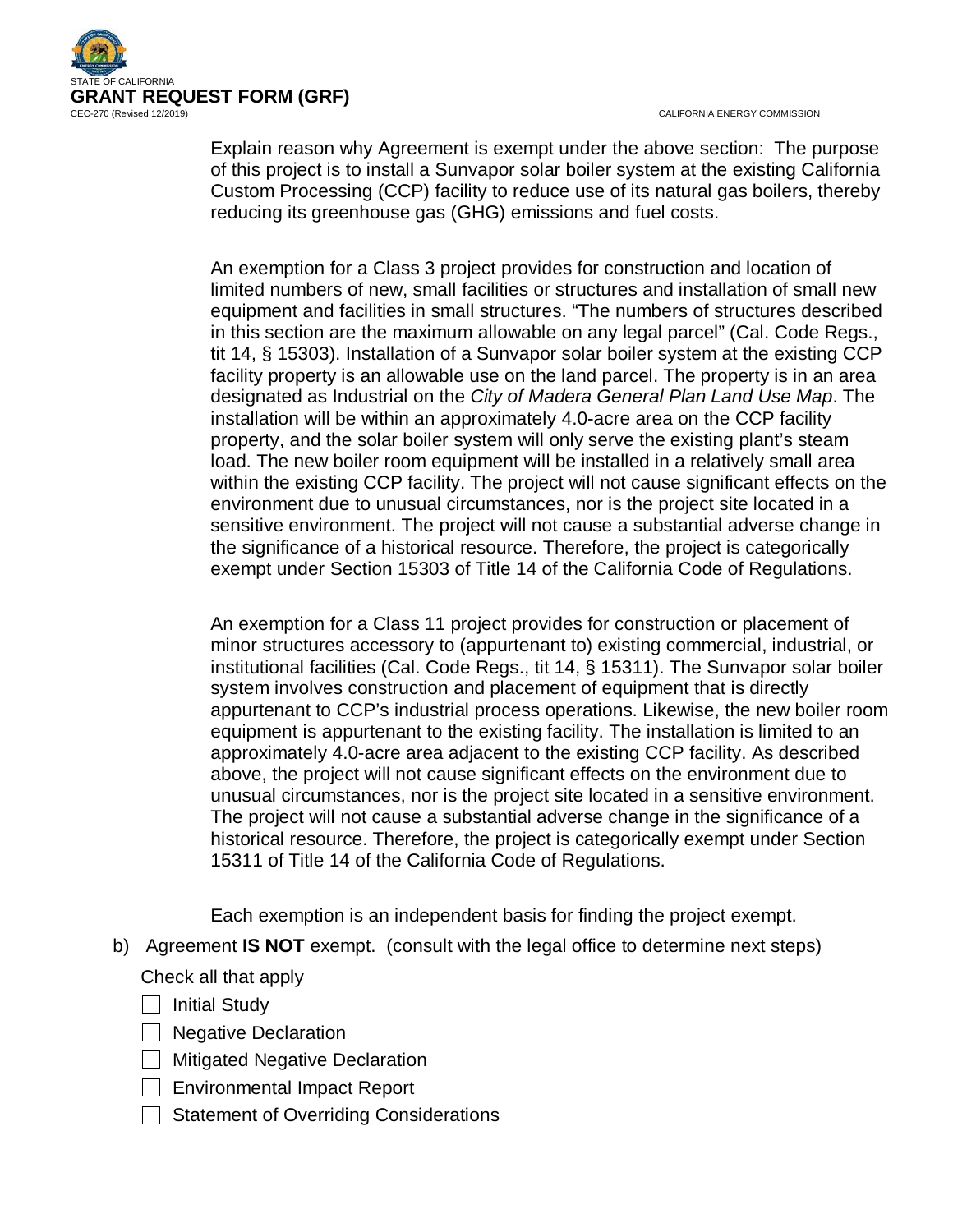

Explain reason why Agreement is exempt under the above section: The purpose of this project is to install a Sunvapor solar boiler system at the existing California Custom Processing (CCP) facility to reduce use of its natural gas boilers, thereby reducing its greenhouse gas (GHG) emissions and fuel costs.

An exemption for a Class 3 project provides for construction and location of limited numbers of new, small facilities or structures and installation of small new equipment and facilities in small structures. "The numbers of structures described in this section are the maximum allowable on any legal parcel" (Cal. Code Regs., tit 14, § 15303). Installation of a Sunvapor solar boiler system at the existing CCP facility property is an allowable use on the land parcel. The property is in an area designated as Industrial on the *City of Madera General Plan Land Use Map*. The installation will be within an approximately 4.0-acre area on the CCP facility property, and the solar boiler system will only serve the existing plant's steam load. The new boiler room equipment will be installed in a relatively small area within the existing CCP facility. The project will not cause significant effects on the environment due to unusual circumstances, nor is the project site located in a sensitive environment. The project will not cause a substantial adverse change in the significance of a historical resource. Therefore, the project is categorically exempt under Section 15303 of Title 14 of the California Code of Regulations.

An exemption for a Class 11 project provides for construction or placement of minor structures accessory to (appurtenant to) existing commercial, industrial, or institutional facilities (Cal. Code Regs., tit 14, § 15311). The Sunvapor solar boiler system involves construction and placement of equipment that is directly appurtenant to CCP's industrial process operations. Likewise, the new boiler room equipment is appurtenant to the existing facility. The installation is limited to an approximately 4.0-acre area adjacent to the existing CCP facility. As described above, the project will not cause significant effects on the environment due to unusual circumstances, nor is the project site located in a sensitive environment. The project will not cause a substantial adverse change in the significance of a historical resource. Therefore, the project is categorically exempt under Section 15311 of Title 14 of the California Code of Regulations.

Each exemption is an independent basis for finding the project exempt.

b) Agreement **IS NOT** exempt. (consult with the legal office to determine next steps)

Check all that apply

 $\Box$  Initial Study

- **Negative Declaration**
- **Mitigated Negative Declaration**
- □ Environmental Impact Report
- Statement of Overriding Considerations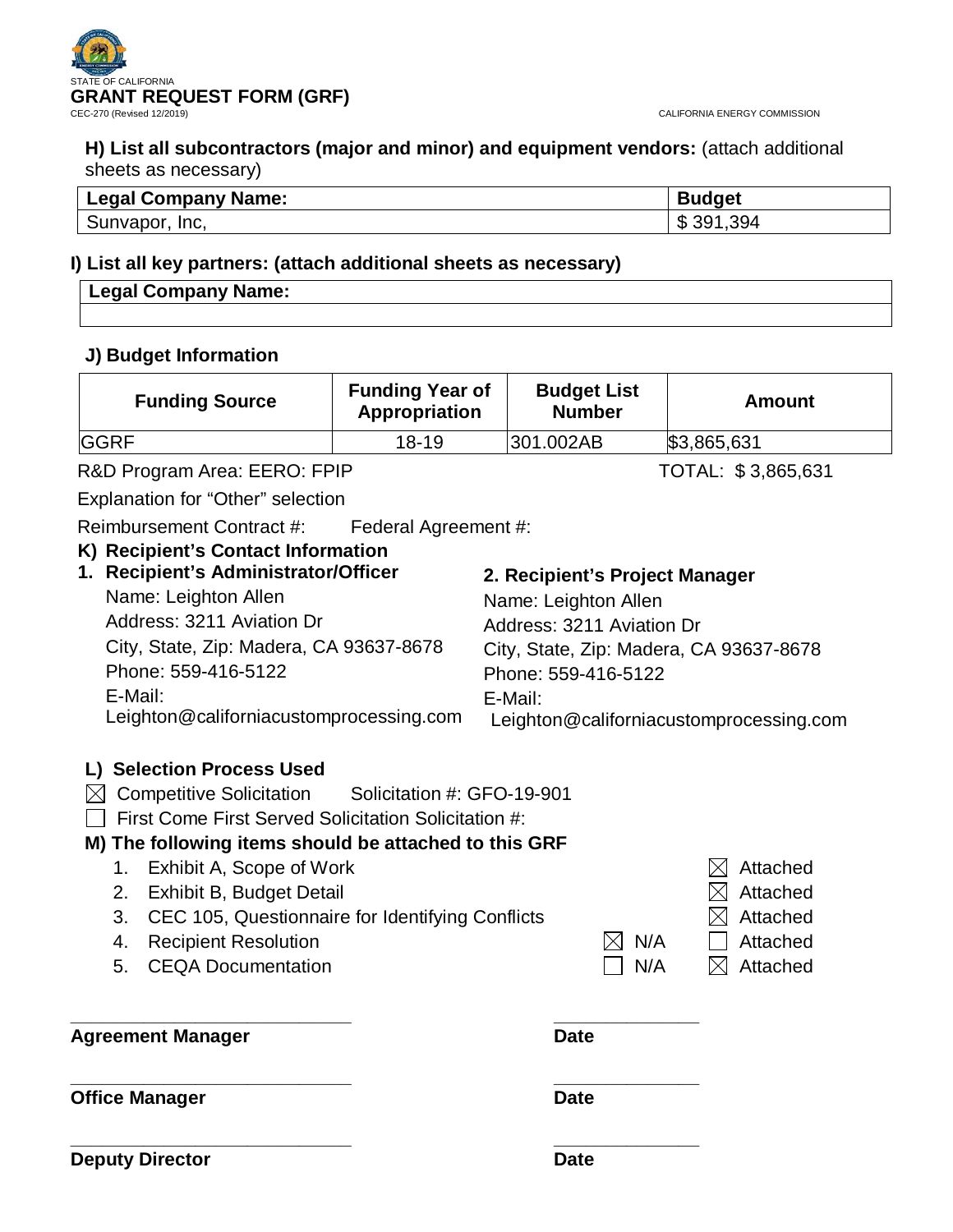

**H) List all subcontractors (major and minor) and equipment vendors:** (attach additional sheets as necessary)

| <b>Legal Company Name:</b> | <b>Budget</b>      |
|----------------------------|--------------------|
| Inc.<br>Sunvapor,          | 391,394<br>m.<br>D |

## **I) List all key partners: (attach additional sheets as necessary)**

| egal Company Name:<br>l Legal ( |  |
|---------------------------------|--|
|                                 |  |

### **J) Budget Information**

| <b>Funding Source</b> | <b>Funding Year of</b><br>Appropriation | <b>Budget List</b><br><b>Number</b> | Amount      |
|-----------------------|-----------------------------------------|-------------------------------------|-------------|
| <b>GGRF</b>           | $18 - 19$                               | 301.002AB                           | \$3,865,631 |

R&D Program Area: EERO: FPIP TOTAL: \$3,865,631

Explanation for "Other" selection

Reimbursement Contract #: Federal Agreement #:

## **K) Recipient's Contact Information**

| 2. Recipient's Project Manager                                                     |
|------------------------------------------------------------------------------------|
| Name: Leighton Allen                                                               |
| Address: 3211 Aviation Dr                                                          |
| City, State, Zip: Madera, CA 93637-8678                                            |
| Phone: 559-416-5122                                                                |
| E-Mail:                                                                            |
| Leighton@californiacustomprocessing.com<br>Leighton@californiacustomprocessing.com |
|                                                                                    |

## **L) Selection Process Used**

- $\boxtimes$  Competitive Solicitation Solicitation #: GFO-19-901
- $\Box$  First Come First Served Solicitation Solicitation #:

## **M) The following items should be attached to this GRF**

1. Exhibit A, Scope of Work  $\boxtimes$  Attached 2. Exhibit B, Budget Detail  $\boxtimes$  Attached 3. CEC 105, Questionnaire for Identifying Conflicts  $\boxtimes$  Attached 4. Recipient Resolution  $\boxtimes N/A$   $\Box$  Attached 5. CEQA Documentation  $\Box$  N/A  $\Box$  Attached **\_\_\_\_\_\_\_\_\_\_\_\_\_\_\_\_\_\_\_\_\_\_\_\_\_\_\_ \_\_\_\_\_\_\_\_\_\_\_\_\_\_** Agreement Manager **Date** 

**Office Manager Date** 

**\_\_\_\_\_\_\_\_\_\_\_\_\_\_\_\_\_\_\_\_\_\_\_\_\_\_\_ \_\_\_\_\_\_\_\_\_\_\_\_\_\_**

**\_\_\_\_\_\_\_\_\_\_\_\_\_\_\_\_\_\_\_\_\_\_\_\_\_\_\_ \_\_\_\_\_\_\_\_\_\_\_\_\_\_ Deputy Director Date**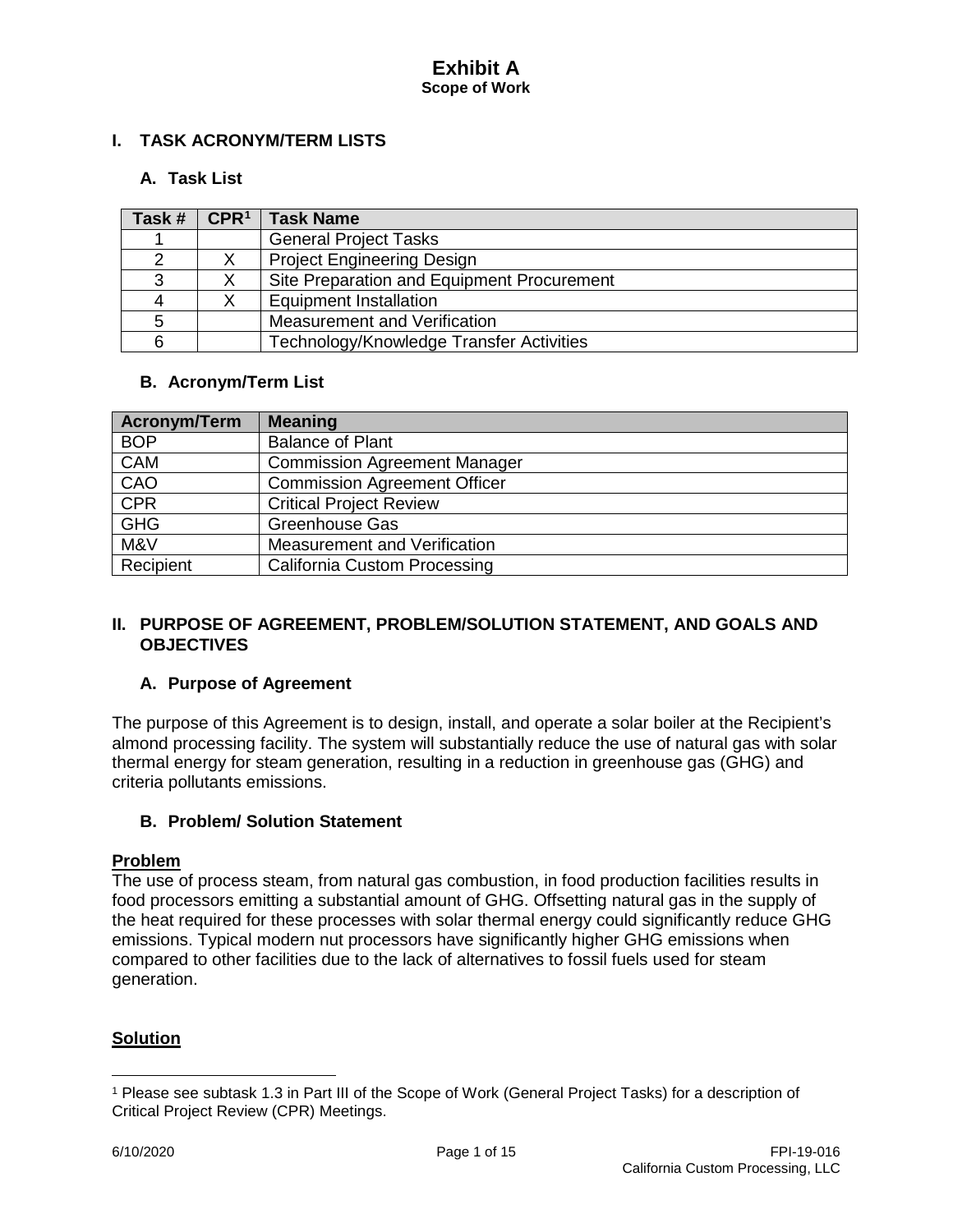## **I. TASK ACRONYM/TERM LISTS**

## **A. Task List**

| Task # | CPR <sup>1</sup> | <b>Task Name</b>                           |
|--------|------------------|--------------------------------------------|
|        |                  | <b>General Project Tasks</b>               |
|        |                  | <b>Project Engineering Design</b>          |
|        |                  | Site Preparation and Equipment Procurement |
|        |                  | <b>Equipment Installation</b>              |
|        |                  | Measurement and Verification               |
|        |                  | Technology/Knowledge Transfer Activities   |

## **B. Acronym/Term List**

| Acronym/Term | <b>Meaning</b>                      |
|--------------|-------------------------------------|
| <b>BOP</b>   | <b>Balance of Plant</b>             |
| <b>CAM</b>   | <b>Commission Agreement Manager</b> |
| CAO          | <b>Commission Agreement Officer</b> |
| <b>CPR</b>   | <b>Critical Project Review</b>      |
| <b>GHG</b>   | Greenhouse Gas                      |
| M&V          | Measurement and Verification        |
| Recipient    | <b>California Custom Processing</b> |

### **II. PURPOSE OF AGREEMENT, PROBLEM/SOLUTION STATEMENT, AND GOALS AND OBJECTIVES**

### **A. Purpose of Agreement**

The purpose of this Agreement is to design, install, and operate a solar boiler at the Recipient's almond processing facility. The system will substantially reduce the use of natural gas with solar thermal energy for steam generation, resulting in a reduction in greenhouse gas (GHG) and criteria pollutants emissions.

### **B. Problem/ Solution Statement**

### **Problem**

The use of process steam, from natural gas combustion, in food production facilities results in food processors emitting a substantial amount of GHG. Offsetting natural gas in the supply of the heat required for these processes with solar thermal energy could significantly reduce GHG emissions. Typical modern nut processors have significantly higher GHG emissions when compared to other facilities due to the lack of alternatives to fossil fuels used for steam generation.

## **Solution**

 $\overline{a}$ 

<span id="page-3-0"></span><sup>1</sup> Please see subtask 1.3 in Part III of the Scope of Work (General Project Tasks) for a description of Critical Project Review (CPR) Meetings.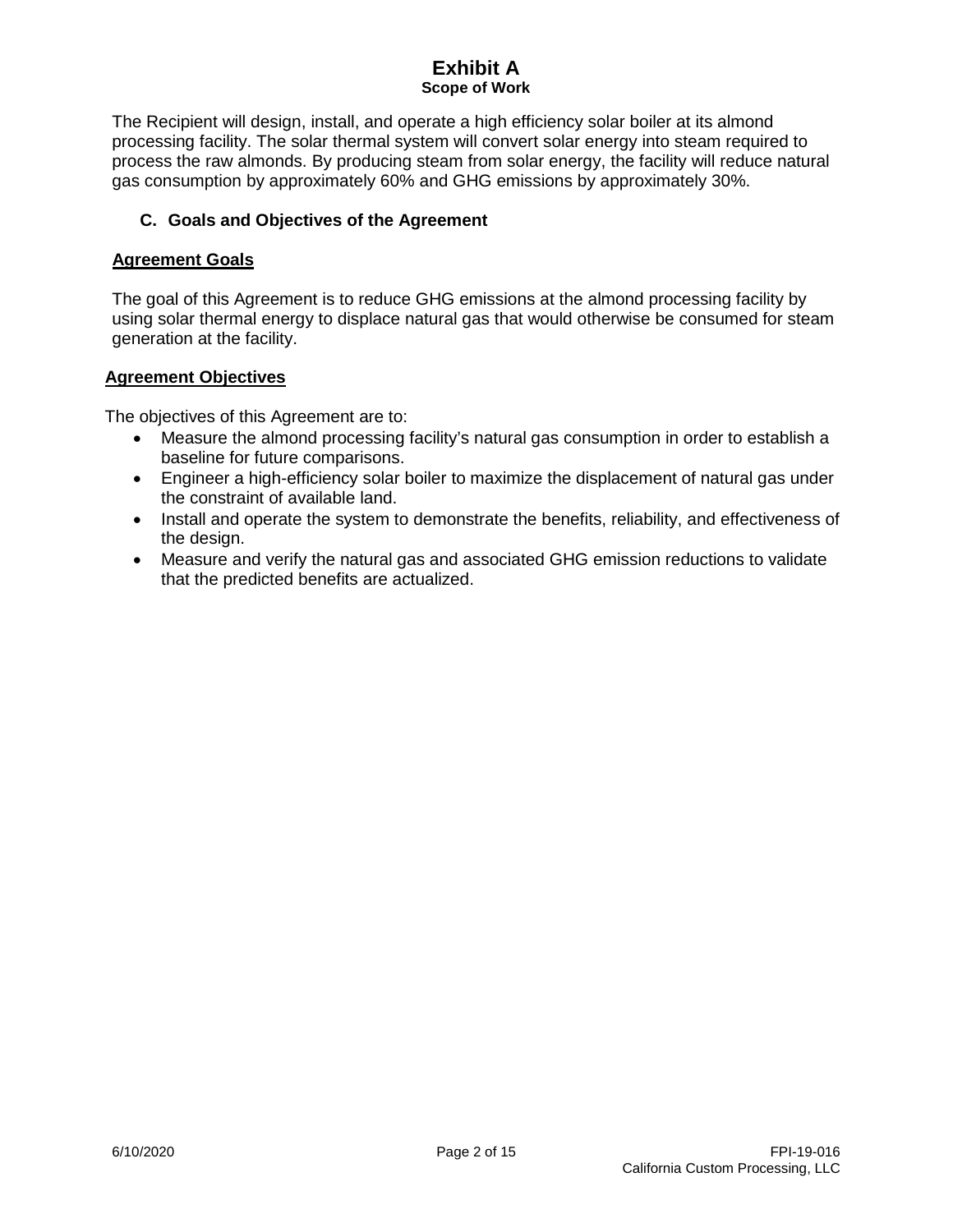The Recipient will design, install, and operate a high efficiency solar boiler at its almond processing facility. The solar thermal system will convert solar energy into steam required to process the raw almonds. By producing steam from solar energy, the facility will reduce natural gas consumption by approximately 60% and GHG emissions by approximately 30%.

## **C. Goals and Objectives of the Agreement**

### **Agreement Goals**

The goal of this Agreement is to reduce GHG emissions at the almond processing facility by using solar thermal energy to displace natural gas that would otherwise be consumed for steam generation at the facility.

#### **Agreement Objectives**

The objectives of this Agreement are to:

- Measure the almond processing facility's natural gas consumption in order to establish a baseline for future comparisons.
- Engineer a high-efficiency solar boiler to maximize the displacement of natural gas under the constraint of available land.
- Install and operate the system to demonstrate the benefits, reliability, and effectiveness of the design.
- Measure and verify the natural gas and associated GHG emission reductions to validate that the predicted benefits are actualized.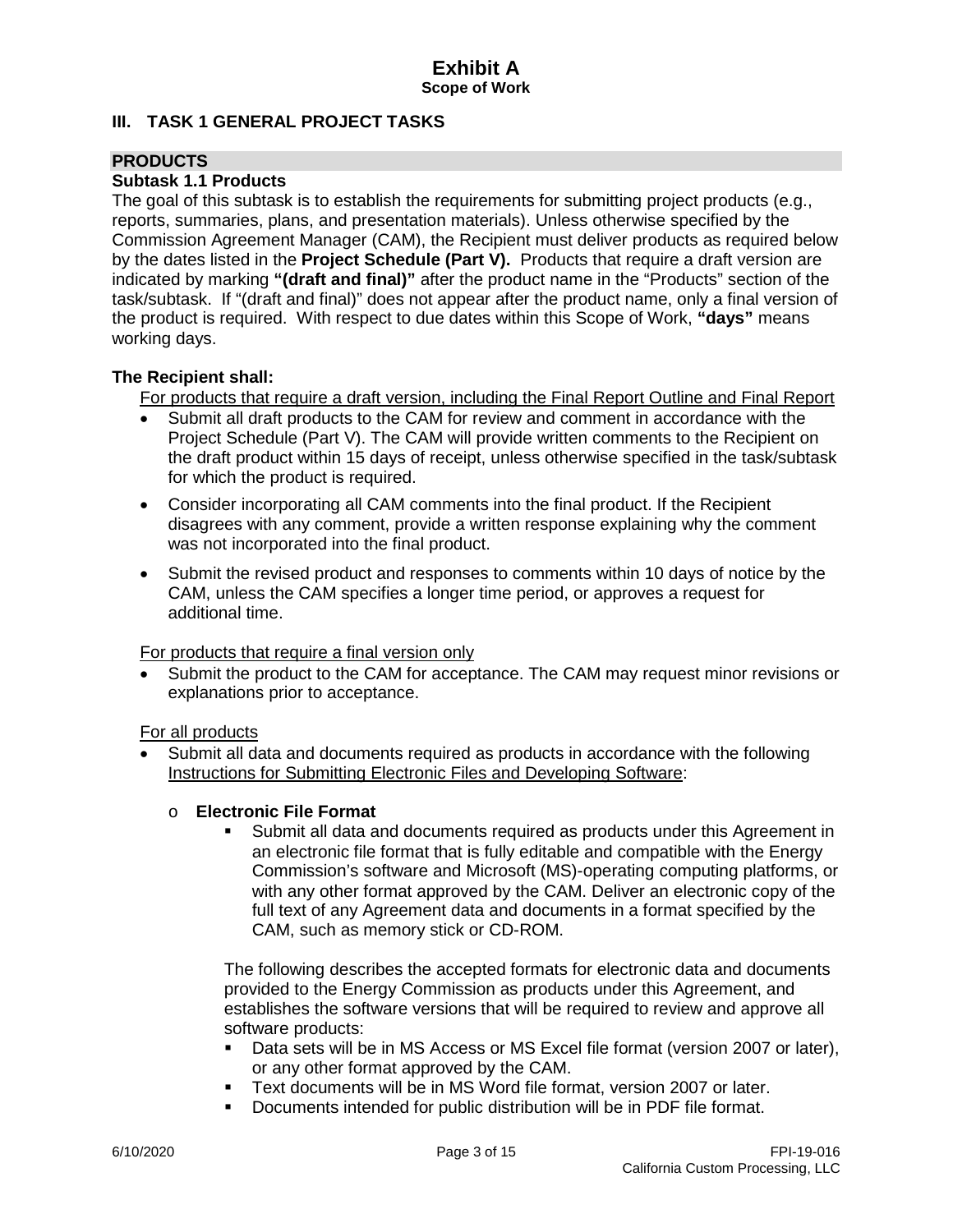## **III. TASK 1 GENERAL PROJECT TASKS**

## **PRODUCTS**

## **Subtask 1.1 Products**

The goal of this subtask is to establish the requirements for submitting project products (e.g., reports, summaries, plans, and presentation materials). Unless otherwise specified by the Commission Agreement Manager (CAM), the Recipient must deliver products as required below by the dates listed in the **Project Schedule (Part V).** Products that require a draft version are indicated by marking **"(draft and final)"** after the product name in the "Products" section of the task/subtask. If "(draft and final)" does not appear after the product name, only a final version of the product is required. With respect to due dates within this Scope of Work, **"days"** means working days.

### **The Recipient shall:**

For products that require a draft version, including the Final Report Outline and Final Report

- Submit all draft products to the CAM for review and comment in accordance with the Project Schedule (Part V). The CAM will provide written comments to the Recipient on the draft product within 15 days of receipt, unless otherwise specified in the task/subtask for which the product is required.
- Consider incorporating all CAM comments into the final product. If the Recipient disagrees with any comment, provide a written response explaining why the comment was not incorporated into the final product.
- Submit the revised product and responses to comments within 10 days of notice by the CAM, unless the CAM specifies a longer time period, or approves a request for additional time.

For products that require a final version only

• Submit the product to the CAM for acceptance. The CAM may request minor revisions or explanations prior to acceptance.

For all products

- Submit all data and documents required as products in accordance with the following Instructions for Submitting Electronic Files and Developing Software:
	- o **Electronic File Format**
		- Submit all data and documents required as products under this Agreement in an electronic file format that is fully editable and compatible with the Energy Commission's software and Microsoft (MS)-operating computing platforms, or with any other format approved by the CAM. Deliver an electronic copy of the full text of any Agreement data and documents in a format specified by the CAM, such as memory stick or CD-ROM.

The following describes the accepted formats for electronic data and documents provided to the Energy Commission as products under this Agreement, and establishes the software versions that will be required to review and approve all software products:

- Data sets will be in MS Access or MS Excel file format (version 2007 or later), or any other format approved by the CAM.
- Text documents will be in MS Word file format, version 2007 or later.
- Documents intended for public distribution will be in PDF file format.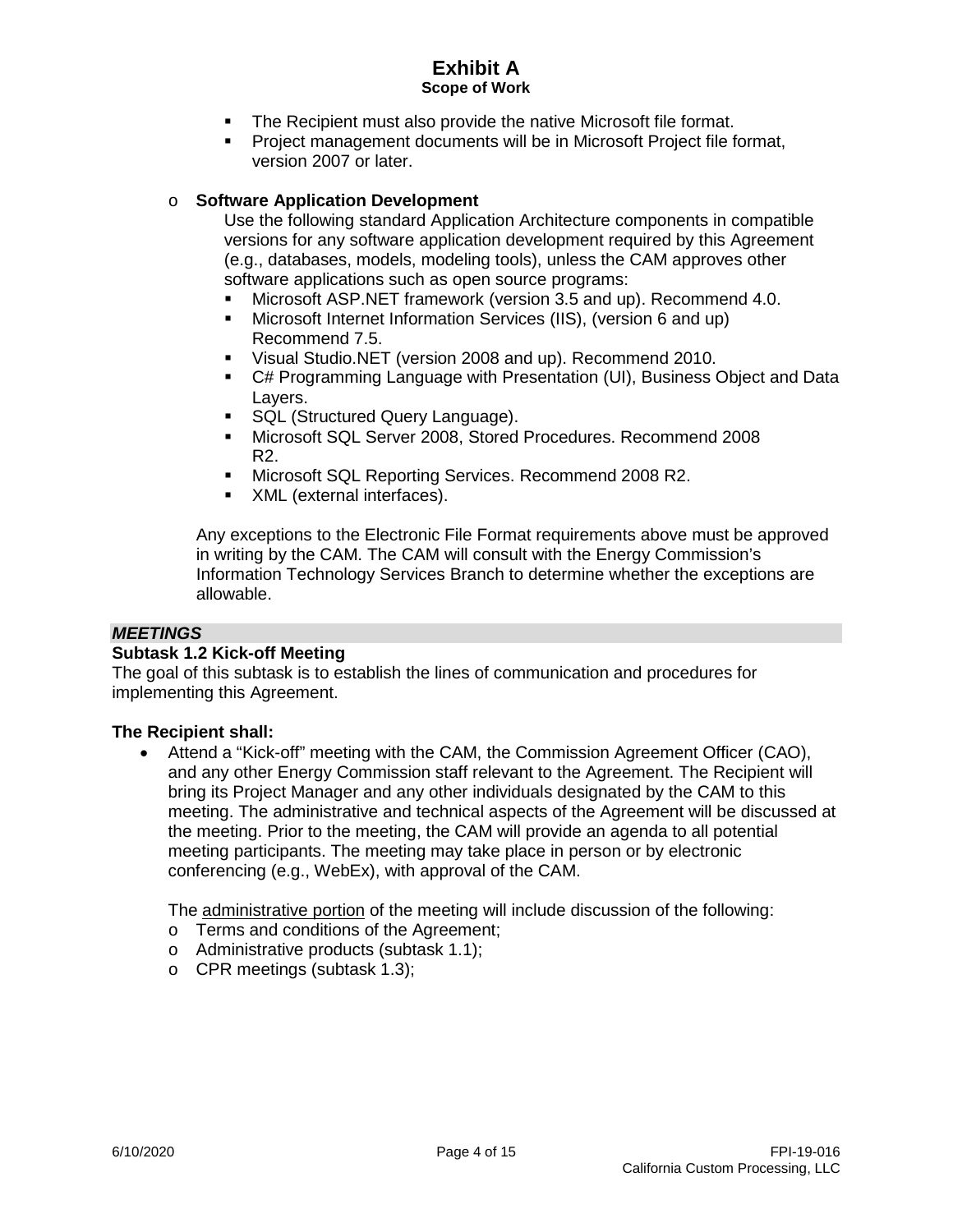- **The Recipient must also provide the native Microsoft file format.**
- Project management documents will be in Microsoft Project file format, version 2007 or later.

#### o **Software Application Development**

Use the following standard Application Architecture components in compatible versions for any software application development required by this Agreement (e.g., databases, models, modeling tools), unless the CAM approves other software applications such as open source programs:

- Microsoft ASP.NET framework (version 3.5 and up). Recommend 4.0.
- Microsoft Internet Information Services (IIS), (version 6 and up) Recommend 7.5.
- Visual Studio.NET (version 2008 and up). Recommend 2010.
- C# Programming Language with Presentation (UI), Business Object and Data Layers.
- **SQL (Structured Query Language).**
- Microsoft SQL Server 2008, Stored Procedures. Recommend 2008 R2.
- Microsoft SQL Reporting Services. Recommend 2008 R2.
- **XML** (external interfaces).

Any exceptions to the Electronic File Format requirements above must be approved in writing by the CAM. The CAM will consult with the Energy Commission's Information Technology Services Branch to determine whether the exceptions are allowable.

#### *MEETINGS*

#### **Subtask 1.2 Kick-off Meeting**

The goal of this subtask is to establish the lines of communication and procedures for implementing this Agreement.

#### **The Recipient shall:**

• Attend a "Kick-off" meeting with the CAM, the Commission Agreement Officer (CAO), and any other Energy Commission staff relevant to the Agreement. The Recipient will bring its Project Manager and any other individuals designated by the CAM to this meeting. The administrative and technical aspects of the Agreement will be discussed at the meeting. Prior to the meeting, the CAM will provide an agenda to all potential meeting participants. The meeting may take place in person or by electronic conferencing (e.g., WebEx), with approval of the CAM.

The administrative portion of the meeting will include discussion of the following:

- o Terms and conditions of the Agreement;
- o Administrative products (subtask 1.1);
- o CPR meetings (subtask 1.3);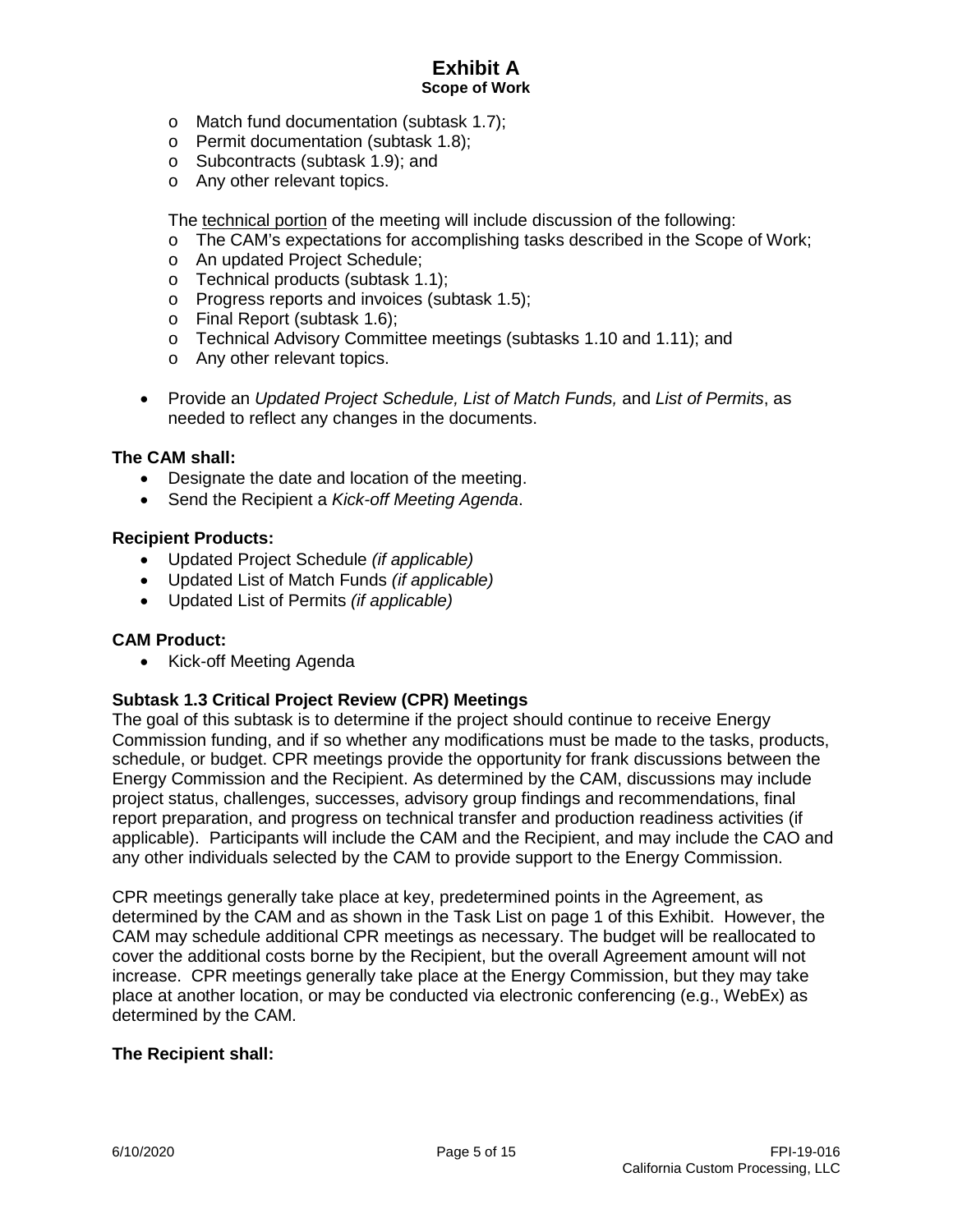- o Match fund documentation (subtask 1.7);
- o Permit documentation (subtask 1.8);
- o Subcontracts (subtask 1.9); and
- o Any other relevant topics.

The technical portion of the meeting will include discussion of the following:

- o The CAM's expectations for accomplishing tasks described in the Scope of Work;
- o An updated Project Schedule;
- o Technical products (subtask 1.1);
- o Progress reports and invoices (subtask 1.5);
- o Final Report (subtask 1.6);
- o Technical Advisory Committee meetings (subtasks 1.10 and 1.11); and
- o Any other relevant topics.
- Provide an *Updated Project Schedule, List of Match Funds,* and *List of Permits*, as needed to reflect any changes in the documents.

#### **The CAM shall:**

- Designate the date and location of the meeting.
- Send the Recipient a *Kick-off Meeting Agenda*.

#### **Recipient Products:**

- Updated Project Schedule *(if applicable)*
- Updated List of Match Funds *(if applicable)*
- Updated List of Permits *(if applicable)*

#### **CAM Product:**

• Kick-off Meeting Agenda

### **Subtask 1.3 Critical Project Review (CPR) Meetings**

The goal of this subtask is to determine if the project should continue to receive Energy Commission funding, and if so whether any modifications must be made to the tasks, products, schedule, or budget. CPR meetings provide the opportunity for frank discussions between the Energy Commission and the Recipient. As determined by the CAM, discussions may include project status, challenges, successes, advisory group findings and recommendations, final report preparation, and progress on technical transfer and production readiness activities (if applicable). Participants will include the CAM and the Recipient, and may include the CAO and any other individuals selected by the CAM to provide support to the Energy Commission.

CPR meetings generally take place at key, predetermined points in the Agreement, as determined by the CAM and as shown in the Task List on page 1 of this Exhibit. However, the CAM may schedule additional CPR meetings as necessary. The budget will be reallocated to cover the additional costs borne by the Recipient, but the overall Agreement amount will not increase. CPR meetings generally take place at the Energy Commission, but they may take place at another location, or may be conducted via electronic conferencing (e.g., WebEx) as determined by the CAM.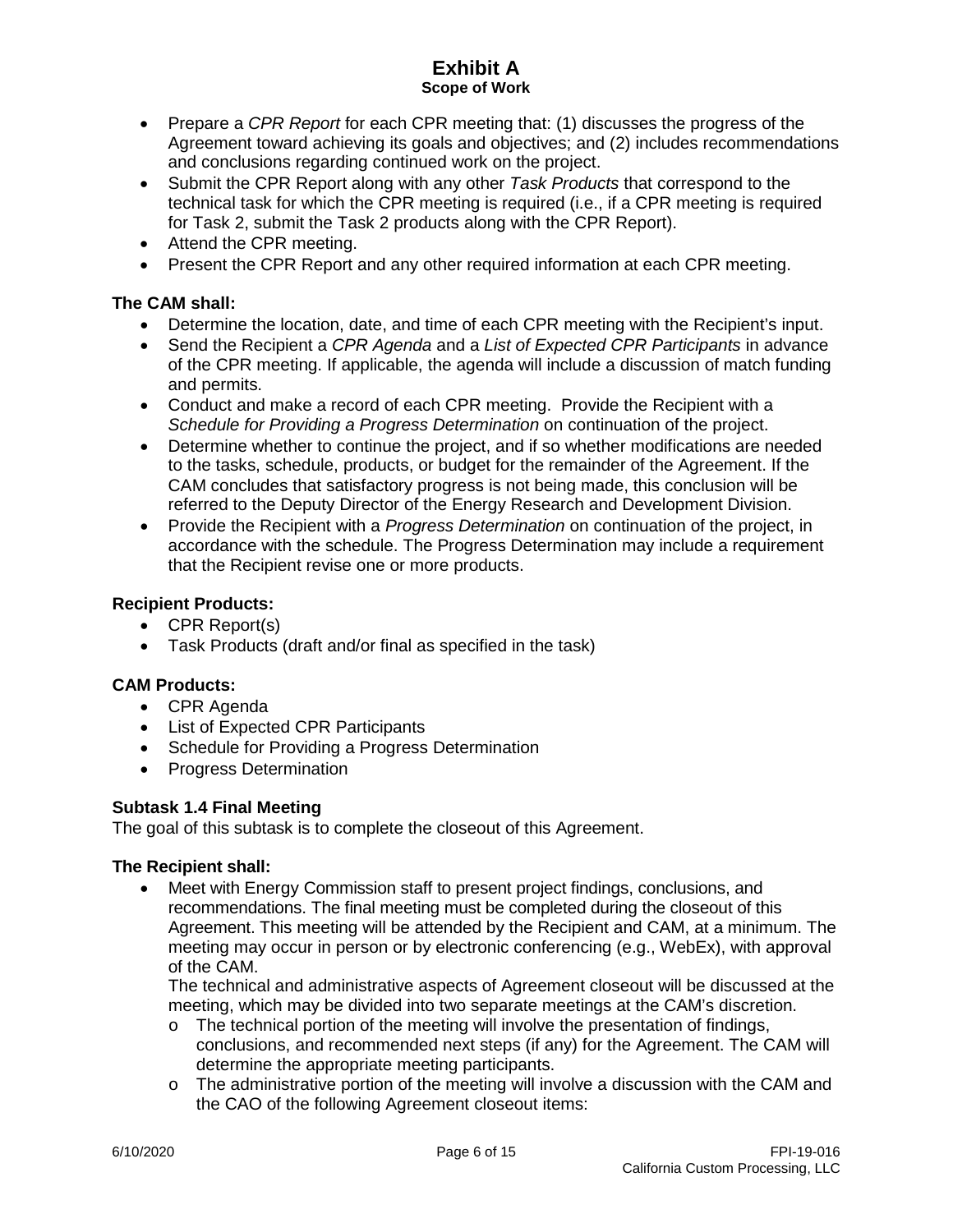- Prepare a *CPR Report* for each CPR meeting that: (1) discusses the progress of the Agreement toward achieving its goals and objectives; and (2) includes recommendations and conclusions regarding continued work on the project.
- Submit the CPR Report along with any other *Task Products* that correspond to the technical task for which the CPR meeting is required (i.e., if a CPR meeting is required for Task 2, submit the Task 2 products along with the CPR Report).
- Attend the CPR meeting.
- Present the CPR Report and any other required information at each CPR meeting.

## **The CAM shall:**

- Determine the location, date, and time of each CPR meeting with the Recipient's input.
- Send the Recipient a *CPR Agenda* and a *List of Expected CPR Participants* in advance of the CPR meeting. If applicable, the agenda will include a discussion of match funding and permits.
- Conduct and make a record of each CPR meeting. Provide the Recipient with a *Schedule for Providing a Progress Determination* on continuation of the project.
- Determine whether to continue the project, and if so whether modifications are needed to the tasks, schedule, products, or budget for the remainder of the Agreement. If the CAM concludes that satisfactory progress is not being made, this conclusion will be referred to the Deputy Director of the Energy Research and Development Division.
- Provide the Recipient with a *Progress Determination* on continuation of the project, in accordance with the schedule. The Progress Determination may include a requirement that the Recipient revise one or more products.

### **Recipient Products:**

- CPR Report(s)
- Task Products (draft and/or final as specified in the task)

### **CAM Products:**

- CPR Agenda
- List of Expected CPR Participants
- Schedule for Providing a Progress Determination
- Progress Determination

### **Subtask 1.4 Final Meeting**

The goal of this subtask is to complete the closeout of this Agreement.

### **The Recipient shall:**

• Meet with Energy Commission staff to present project findings, conclusions, and recommendations. The final meeting must be completed during the closeout of this Agreement. This meeting will be attended by the Recipient and CAM, at a minimum. The meeting may occur in person or by electronic conferencing (e.g., WebEx), with approval of the CAM.

The technical and administrative aspects of Agreement closeout will be discussed at the meeting, which may be divided into two separate meetings at the CAM's discretion.

- $\circ$  The technical portion of the meeting will involve the presentation of findings, conclusions, and recommended next steps (if any) for the Agreement. The CAM will determine the appropriate meeting participants.
- $\circ$  The administrative portion of the meeting will involve a discussion with the CAM and the CAO of the following Agreement closeout items: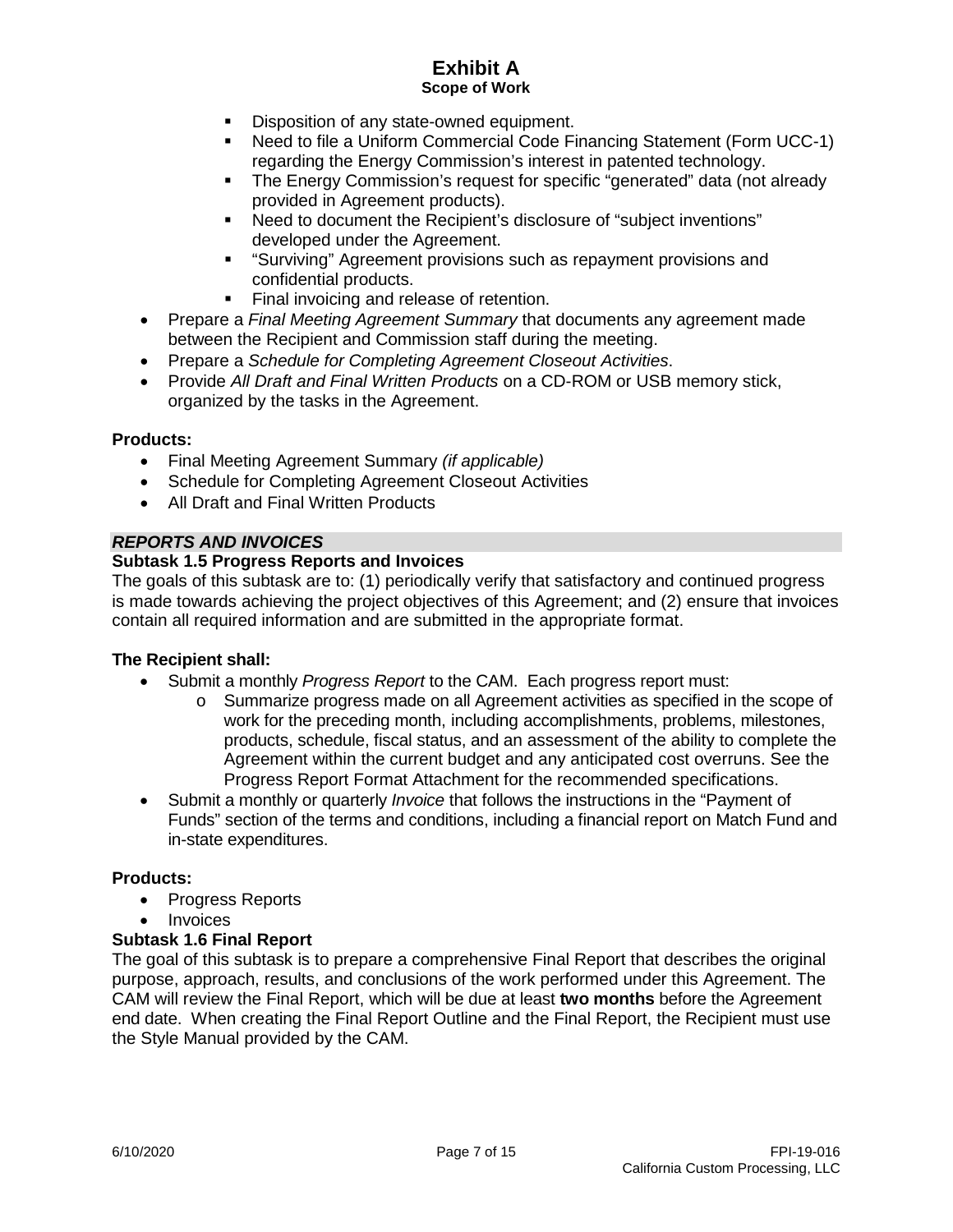- Disposition of any state-owned equipment.
- Need to file a Uniform Commercial Code Financing Statement (Form UCC-1) regarding the Energy Commission's interest in patented technology.
- The Energy Commission's request for specific "generated" data (not already provided in Agreement products).
- Need to document the Recipient's disclosure of "subject inventions" developed under the Agreement.
- "Surviving" Agreement provisions such as repayment provisions and confidential products.
- **Final invoicing and release of retention.**
- Prepare a *Final Meeting Agreement Summary* that documents any agreement made between the Recipient and Commission staff during the meeting.
- Prepare a *Schedule for Completing Agreement Closeout Activities*.
- Provide *All Draft and Final Written Products* on a CD-ROM or USB memory stick, organized by the tasks in the Agreement.

### **Products:**

- Final Meeting Agreement Summary *(if applicable)*
- Schedule for Completing Agreement Closeout Activities
- All Draft and Final Written Products

## *REPORTS AND INVOICES*

## **Subtask 1.5 Progress Reports and Invoices**

The goals of this subtask are to: (1) periodically verify that satisfactory and continued progress is made towards achieving the project objectives of this Agreement; and (2) ensure that invoices contain all required information and are submitted in the appropriate format.

### **The Recipient shall:**

- Submit a monthly *Progress Report* to the CAM. Each progress report must:
	- o Summarize progress made on all Agreement activities as specified in the scope of work for the preceding month, including accomplishments, problems, milestones, products, schedule, fiscal status, and an assessment of the ability to complete the Agreement within the current budget and any anticipated cost overruns. See the Progress Report Format Attachment for the recommended specifications.
- Submit a monthly or quarterly *Invoice* that follows the instructions in the "Payment of Funds" section of the terms and conditions, including a financial report on Match Fund and in-state expenditures.

### **Products:**

- Progress Reports
- Invoices

### **Subtask 1.6 Final Report**

The goal of this subtask is to prepare a comprehensive Final Report that describes the original purpose, approach, results, and conclusions of the work performed under this Agreement. The CAM will review the Final Report, which will be due at least **two months** before the Agreement end date. When creating the Final Report Outline and the Final Report, the Recipient must use the Style Manual provided by the CAM.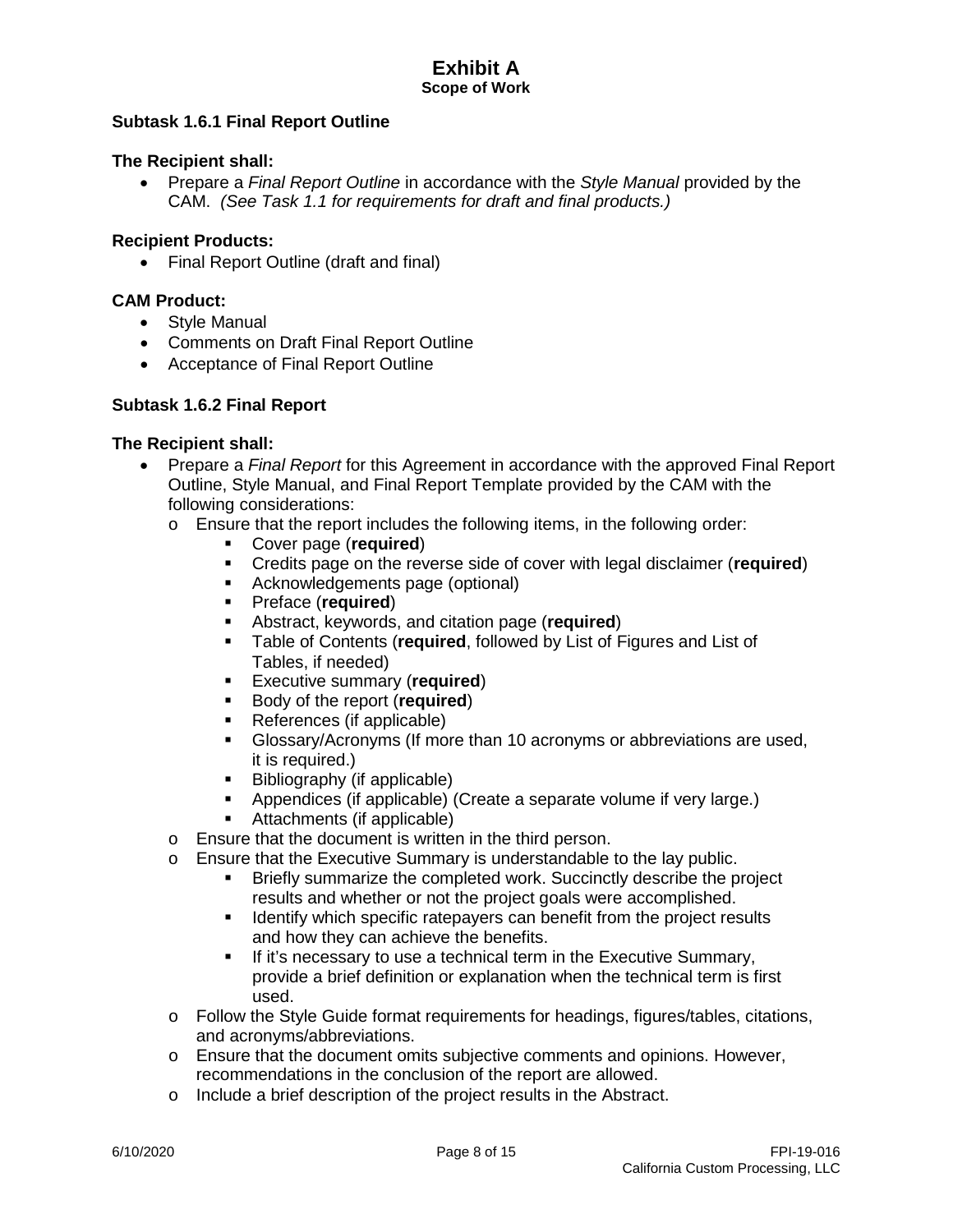## **Subtask 1.6.1 Final Report Outline**

## **The Recipient shall:**

• Prepare a *Final Report Outline* in accordance with the *Style Manual* provided by the CAM. *(See Task 1.1 for requirements for draft and final products.)*

#### **Recipient Products:**

• Final Report Outline (draft and final)

#### **CAM Product:**

- Style Manual
- Comments on Draft Final Report Outline
- Acceptance of Final Report Outline

#### **Subtask 1.6.2 Final Report**

- Prepare a *Final Report* for this Agreement in accordance with the approved Final Report Outline, Style Manual, and Final Report Template provided by the CAM with the following considerations:
	- o Ensure that the report includes the following items, in the following order:
		- Cover page (**required**)
		- Credits page on the reverse side of cover with legal disclaimer (**required**)
		- **Acknowledgements page (optional)**
		- Preface (**required**)
		- **Abstract, keywords, and citation page (required)**<br>**E** Table of Contents (required, followed by List of F
		- Table of Contents (**required**, followed by List of Figures and List of Tables, if needed)
		- Executive summary (**required**)
		- **Body of the report (required)**
		- References (if applicable)
		- Glossary/Acronyms (If more than 10 acronyms or abbreviations are used, it is required.)
		- Bibliography (if applicable)
		- Appendices (if applicable) (Create a separate volume if very large.)
		- Attachments (if applicable)
	- o Ensure that the document is written in the third person.
	- o Ensure that the Executive Summary is understandable to the lay public.
		- Briefly summarize the completed work. Succinctly describe the project results and whether or not the project goals were accomplished.
		- I dentify which specific ratepayers can benefit from the project results and how they can achieve the benefits.
		- **If it's necessary to use a technical term in the Executive Summary,** provide a brief definition or explanation when the technical term is first used.
	- $\circ$  Follow the Style Guide format requirements for headings, figures/tables, citations, and acronyms/abbreviations.
	- $\circ$  Ensure that the document omits subjective comments and opinions. However, recommendations in the conclusion of the report are allowed.
	- o Include a brief description of the project results in the Abstract.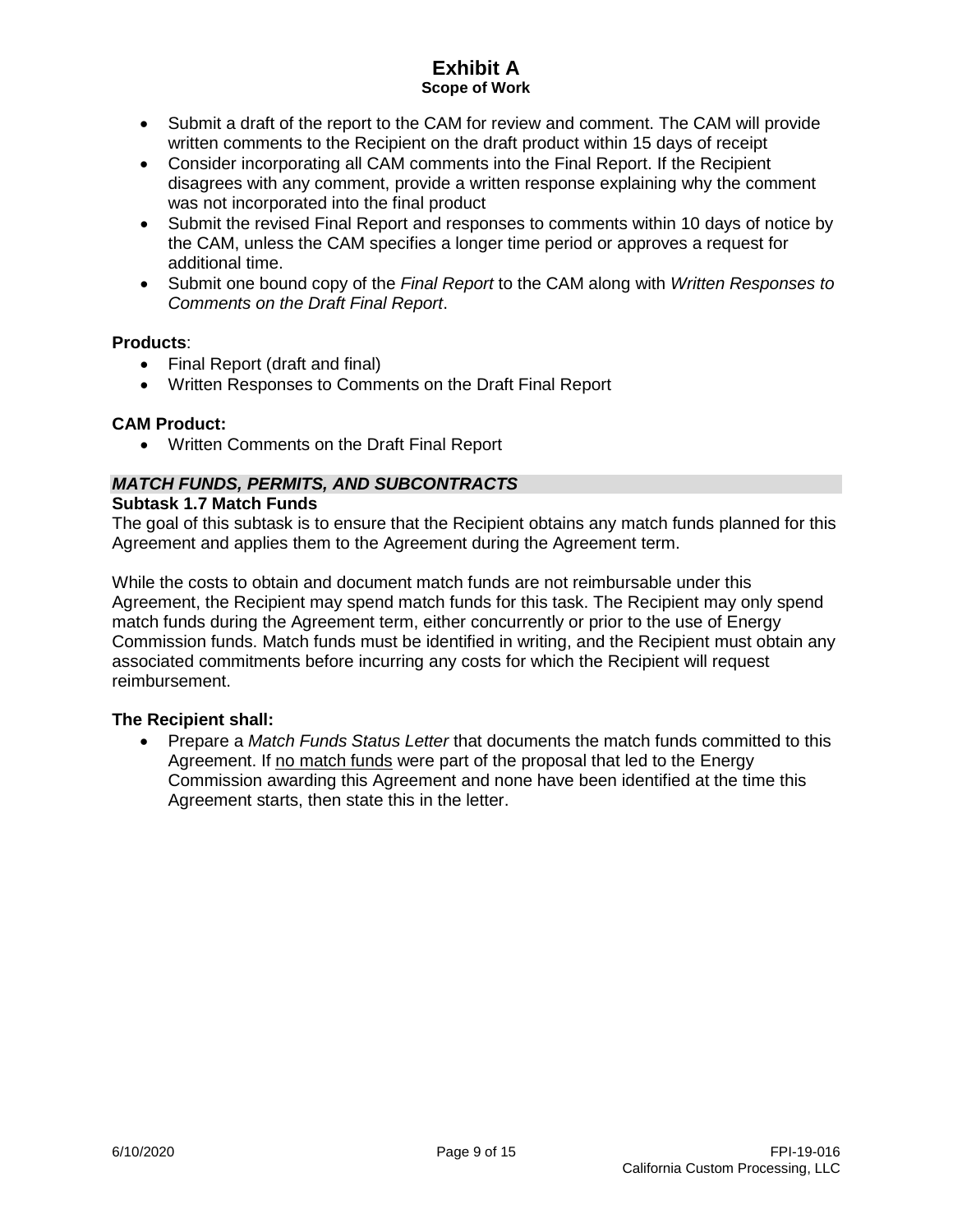- Submit a draft of the report to the CAM for review and comment. The CAM will provide written comments to the Recipient on the draft product within 15 days of receipt
- Consider incorporating all CAM comments into the Final Report. If the Recipient disagrees with any comment, provide a written response explaining why the comment was not incorporated into the final product
- Submit the revised Final Report and responses to comments within 10 days of notice by the CAM, unless the CAM specifies a longer time period or approves a request for additional time.
- Submit one bound copy of the *Final Report* to the CAM along with *Written Responses to Comments on the Draft Final Report*.

### **Products**:

- Final Report (draft and final)
- Written Responses to Comments on the Draft Final Report

### **CAM Product:**

• Written Comments on the Draft Final Report

# *MATCH FUNDS, PERMITS, AND SUBCONTRACTS*

#### **Subtask 1.7 Match Funds**

The goal of this subtask is to ensure that the Recipient obtains any match funds planned for this Agreement and applies them to the Agreement during the Agreement term.

While the costs to obtain and document match funds are not reimbursable under this Agreement, the Recipient may spend match funds for this task. The Recipient may only spend match funds during the Agreement term, either concurrently or prior to the use of Energy Commission funds. Match funds must be identified in writing, and the Recipient must obtain any associated commitments before incurring any costs for which the Recipient will request reimbursement.

### **The Recipient shall:**

• Prepare a *Match Funds Status Letter* that documents the match funds committed to this Agreement. If no match funds were part of the proposal that led to the Energy Commission awarding this Agreement and none have been identified at the time this Agreement starts, then state this in the letter.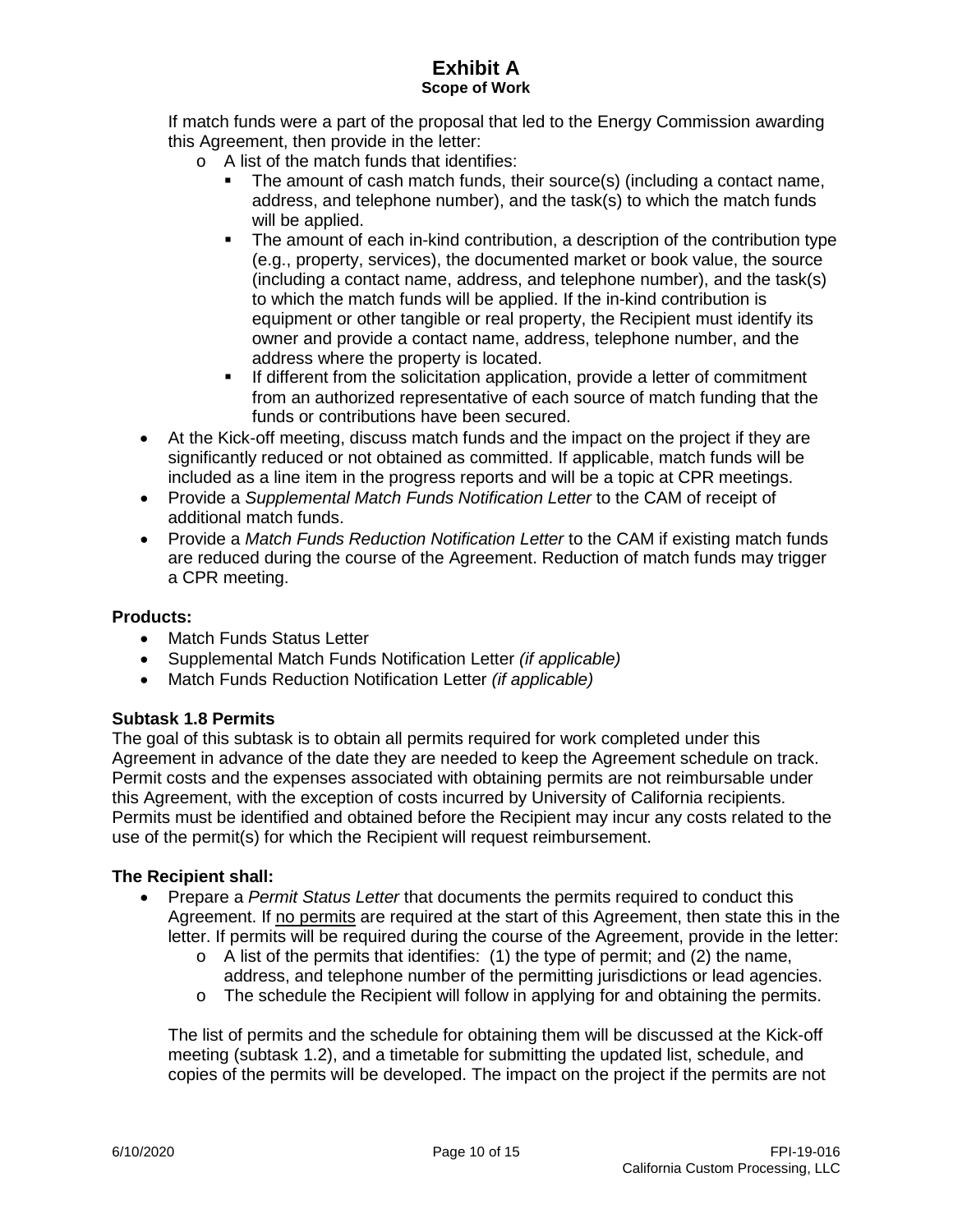If match funds were a part of the proposal that led to the Energy Commission awarding this Agreement, then provide in the letter:

- o A list of the match funds that identifies:
	- The amount of cash match funds, their source(s) (including a contact name, address, and telephone number), and the task(s) to which the match funds will be applied.
	- The amount of each in-kind contribution, a description of the contribution type (e.g., property, services), the documented market or book value, the source (including a contact name, address, and telephone number), and the task(s) to which the match funds will be applied. If the in-kind contribution is equipment or other tangible or real property, the Recipient must identify its owner and provide a contact name, address, telephone number, and the address where the property is located.
	- If different from the solicitation application, provide a letter of commitment from an authorized representative of each source of match funding that the funds or contributions have been secured.
- At the Kick-off meeting, discuss match funds and the impact on the project if they are significantly reduced or not obtained as committed. If applicable, match funds will be included as a line item in the progress reports and will be a topic at CPR meetings.
- Provide a *Supplemental Match Funds Notification Letter* to the CAM of receipt of additional match funds.
- Provide a *Match Funds Reduction Notification Letter* to the CAM if existing match funds are reduced during the course of the Agreement. Reduction of match funds may trigger a CPR meeting.

### **Products:**

- Match Funds Status Letter
- Supplemental Match Funds Notification Letter *(if applicable)*
- Match Funds Reduction Notification Letter *(if applicable)*

#### **Subtask 1.8 Permits**

The goal of this subtask is to obtain all permits required for work completed under this Agreement in advance of the date they are needed to keep the Agreement schedule on track. Permit costs and the expenses associated with obtaining permits are not reimbursable under this Agreement, with the exception of costs incurred by University of California recipients. Permits must be identified and obtained before the Recipient may incur any costs related to the use of the permit(s) for which the Recipient will request reimbursement.

#### **The Recipient shall:**

- Prepare a *Permit Status Letter* that documents the permits required to conduct this Agreement. If no permits are required at the start of this Agreement, then state this in the letter. If permits will be required during the course of the Agreement, provide in the letter:
	- $\circ$  A list of the permits that identifies: (1) the type of permit; and (2) the name, address, and telephone number of the permitting jurisdictions or lead agencies.
	- $\circ$  The schedule the Recipient will follow in applying for and obtaining the permits.

The list of permits and the schedule for obtaining them will be discussed at the Kick-off meeting (subtask 1.2), and a timetable for submitting the updated list, schedule, and copies of the permits will be developed. The impact on the project if the permits are not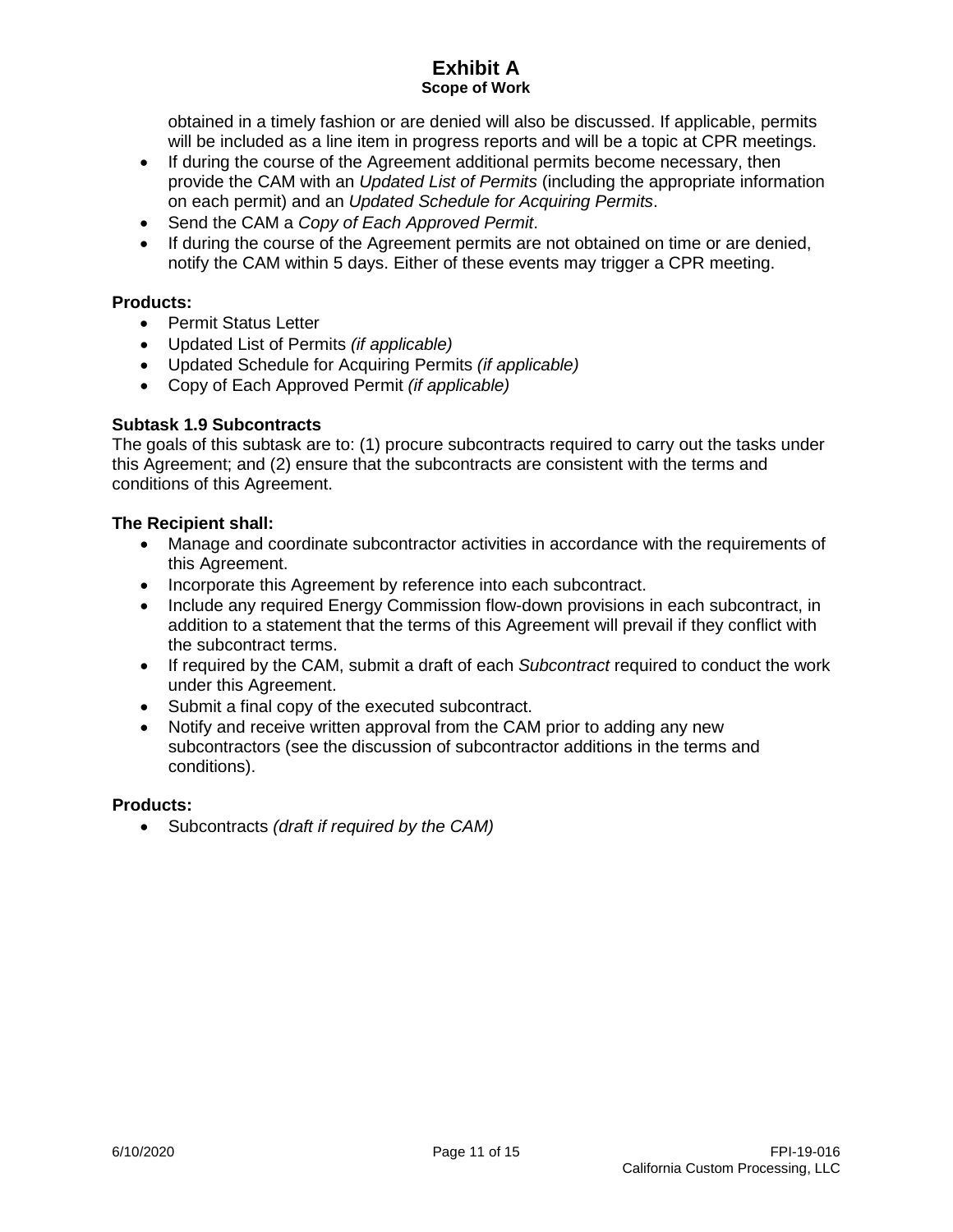obtained in a timely fashion or are denied will also be discussed. If applicable, permits will be included as a line item in progress reports and will be a topic at CPR meetings.

- If during the course of the Agreement additional permits become necessary, then provide the CAM with an *Updated List of Permits* (including the appropriate information on each permit) and an *Updated Schedule for Acquiring Permits*.
- Send the CAM a *Copy of Each Approved Permit*.
- If during the course of the Agreement permits are not obtained on time or are denied, notify the CAM within 5 days. Either of these events may trigger a CPR meeting.

## **Products:**

- Permit Status Letter
- Updated List of Permits *(if applicable)*
- Updated Schedule for Acquiring Permits *(if applicable)*
- Copy of Each Approved Permit *(if applicable)*

## **Subtask 1.9 Subcontracts**

The goals of this subtask are to: (1) procure subcontracts required to carry out the tasks under this Agreement; and (2) ensure that the subcontracts are consistent with the terms and conditions of this Agreement.

### **The Recipient shall:**

- Manage and coordinate subcontractor activities in accordance with the requirements of this Agreement.
- Incorporate this Agreement by reference into each subcontract.
- Include any required Energy Commission flow-down provisions in each subcontract, in addition to a statement that the terms of this Agreement will prevail if they conflict with the subcontract terms.
- If required by the CAM, submit a draft of each *Subcontract* required to conduct the work under this Agreement.
- Submit a final copy of the executed subcontract.
- Notify and receive written approval from the CAM prior to adding any new subcontractors (see the discussion of subcontractor additions in the terms and conditions).

### **Products:**

• Subcontracts *(draft if required by the CAM)*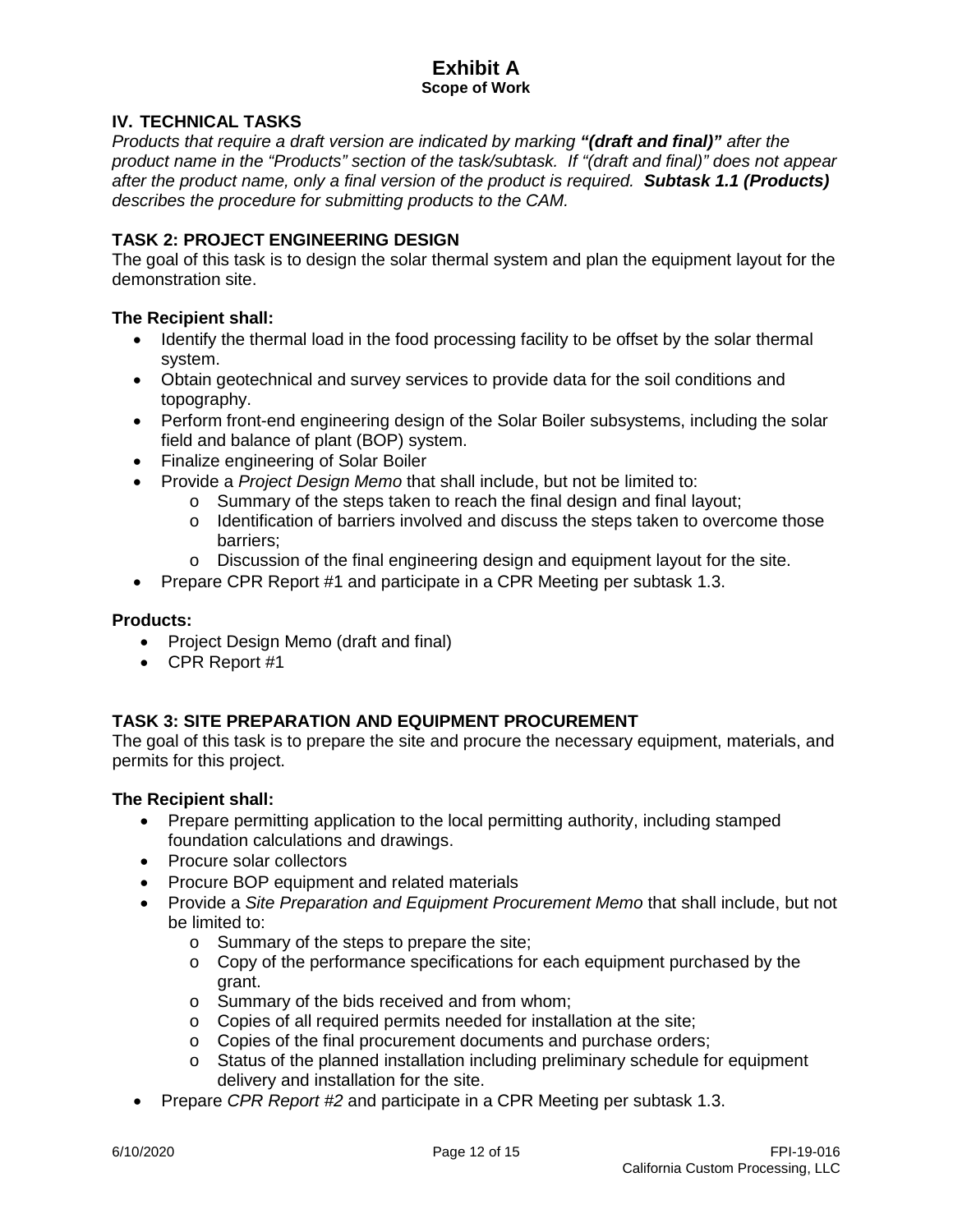## **IV. TECHNICAL TASKS**

*Products that require a draft version are indicated by marking "(draft and final)" after the product name in the "Products" section of the task/subtask. If "(draft and final)" does not appear after the product name, only a final version of the product is required. Subtask 1.1 (Products) describes the procedure for submitting products to the CAM.* 

## **TASK 2: PROJECT ENGINEERING DESIGN**

The goal of this task is to design the solar thermal system and plan the equipment layout for the demonstration site.

## **The Recipient shall:**

- Identify the thermal load in the food processing facility to be offset by the solar thermal system.
- Obtain geotechnical and survey services to provide data for the soil conditions and topography.
- Perform front-end engineering design of the Solar Boiler subsystems, including the solar field and balance of plant (BOP) system.
- Finalize engineering of Solar Boiler
- Provide a *Project Design Memo* that shall include, but not be limited to:
	- o Summary of the steps taken to reach the final design and final layout;
	- $\circ$  Identification of barriers involved and discuss the steps taken to overcome those barriers;
	- $\circ$  Discussion of the final engineering design and equipment layout for the site.
- Prepare CPR Report #1 and participate in a CPR Meeting per subtask 1.3.

### **Products:**

- Project Design Memo (draft and final)
- CPR Report #1

## **TASK 3: SITE PREPARATION AND EQUIPMENT PROCUREMENT**

The goal of this task is to prepare the site and procure the necessary equipment, materials, and permits for this project.

- Prepare permitting application to the local permitting authority, including stamped foundation calculations and drawings.
- Procure solar collectors
- Procure BOP equipment and related materials
- Provide a *Site Preparation and Equipment Procurement Memo* that shall include, but not be limited to:
	- o Summary of the steps to prepare the site;
	- $\circ$  Copy of the performance specifications for each equipment purchased by the grant.
	- o Summary of the bids received and from whom;
	- o Copies of all required permits needed for installation at the site;
	- o Copies of the final procurement documents and purchase orders;
	- o Status of the planned installation including preliminary schedule for equipment delivery and installation for the site.
- Prepare *CPR Report #2* and participate in a CPR Meeting per subtask 1.3.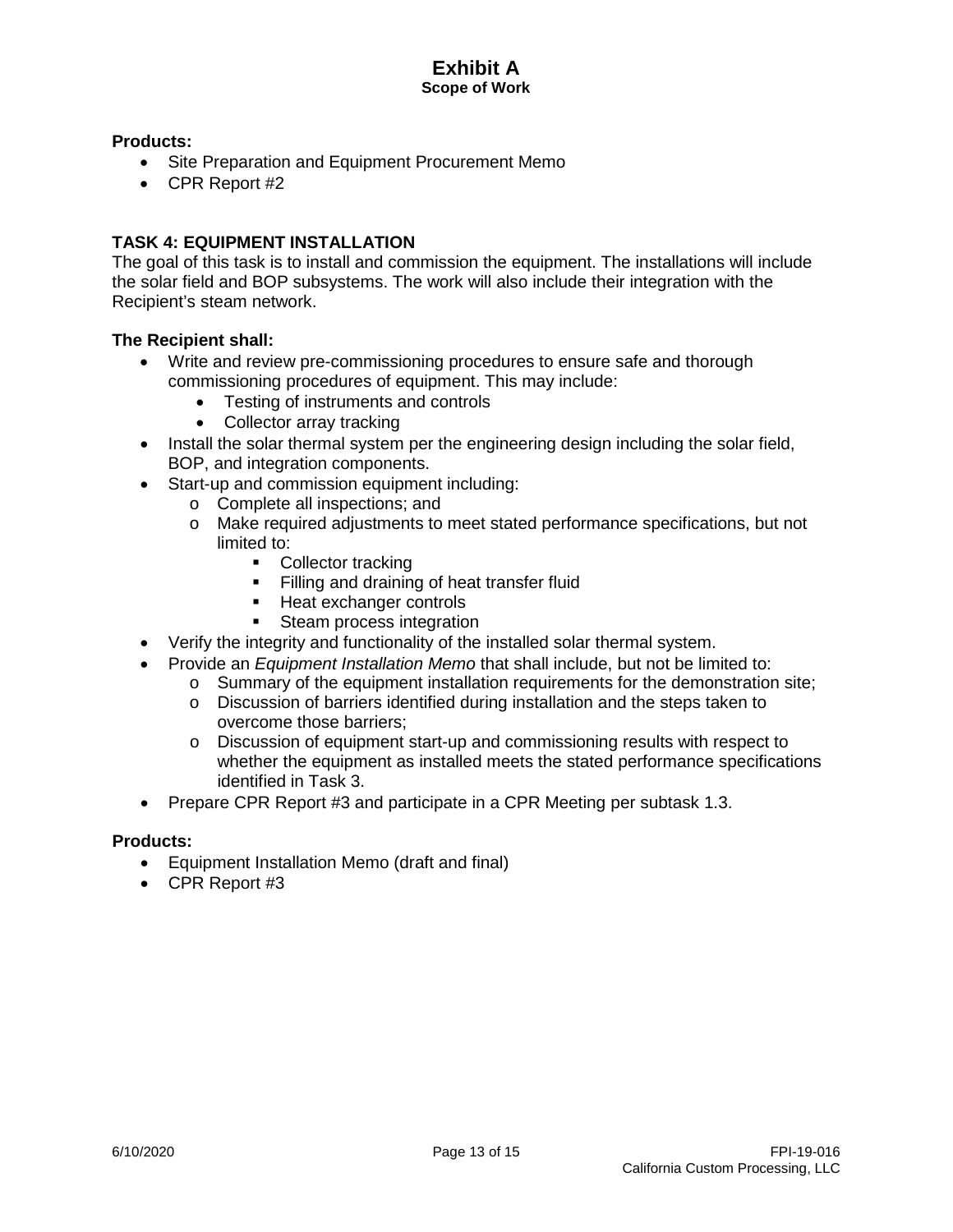## **Products:**

- Site Preparation and Equipment Procurement Memo
- CPR Report #2

## **TASK 4: EQUIPMENT INSTALLATION**

The goal of this task is to install and commission the equipment. The installations will include the solar field and BOP subsystems. The work will also include their integration with the Recipient's steam network.

### **The Recipient shall:**

- Write and review pre-commissioning procedures to ensure safe and thorough commissioning procedures of equipment. This may include:
	- Testing of instruments and controls
	- Collector array tracking
- Install the solar thermal system per the engineering design including the solar field, BOP, and integration components.
- Start-up and commission equipment including:
	- o Complete all inspections; and
	- o Make required adjustments to meet stated performance specifications, but not limited to:
		- Collector tracking
		- Filling and draining of heat transfer fluid
		- Heat exchanger controls
		- Steam process integration
- Verify the integrity and functionality of the installed solar thermal system.
- Provide an *Equipment Installation Memo* that shall include, but not be limited to:
	- $\circ$  Summary of the equipment installation requirements for the demonstration site;
		- o Discussion of barriers identified during installation and the steps taken to overcome those barriers;
	- $\circ$  Discussion of equipment start-up and commissioning results with respect to whether the equipment as installed meets the stated performance specifications identified in Task 3.
- Prepare CPR Report #3 and participate in a CPR Meeting per subtask 1.3.

#### **Products:**

- Equipment Installation Memo (draft and final)
- CPR Report #3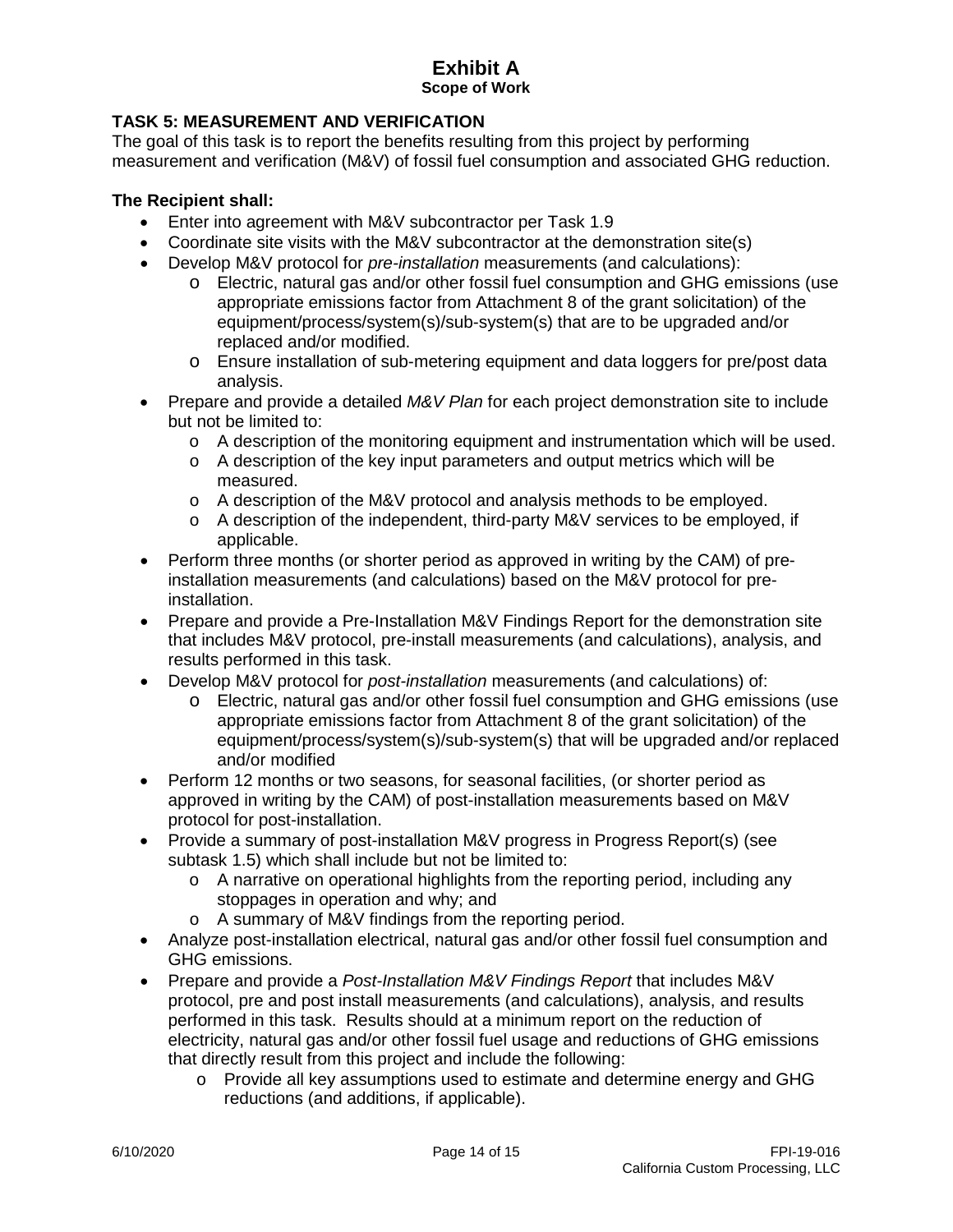## **TASK 5: MEASUREMENT AND VERIFICATION**

The goal of this task is to report the benefits resulting from this project by performing measurement and verification (M&V) of fossil fuel consumption and associated GHG reduction.

- Enter into agreement with M&V subcontractor per Task 1.9
- Coordinate site visits with the M&V subcontractor at the demonstration site(s)
- Develop M&V protocol for *pre-installation* measurements (and calculations):
	- o Electric, natural gas and/or other fossil fuel consumption and GHG emissions (use appropriate emissions factor from Attachment 8 of the grant solicitation) of the equipment/process/system(s)/sub-system(s) that are to be upgraded and/or replaced and/or modified.
	- o Ensure installation of sub-metering equipment and data loggers for pre/post data analysis.
- Prepare and provide a detailed *M&V Plan* for each project demonstration site to include but not be limited to:
	- $\circ$  A description of the monitoring equipment and instrumentation which will be used.
	- $\circ$  A description of the key input parameters and output metrics which will be measured.
	- o A description of the M&V protocol and analysis methods to be employed.
	- o A description of the independent, third-party M&V services to be employed, if applicable.
- Perform three months (or shorter period as approved in writing by the CAM) of preinstallation measurements (and calculations) based on the M&V protocol for preinstallation.
- Prepare and provide a Pre-Installation M&V Findings Report for the demonstration site that includes M&V protocol, pre-install measurements (and calculations), analysis, and results performed in this task.
- Develop M&V protocol for *post-installation* measurements (and calculations) of:
	- o Electric, natural gas and/or other fossil fuel consumption and GHG emissions (use appropriate emissions factor from Attachment 8 of the grant solicitation) of the equipment/process/system(s)/sub-system(s) that will be upgraded and/or replaced and/or modified
- Perform 12 months or two seasons, for seasonal facilities, (or shorter period as approved in writing by the CAM) of post-installation measurements based on M&V protocol for post-installation.
- Provide a summary of post-installation M&V progress in Progress Report(s) (see subtask 1.5) which shall include but not be limited to:
	- $\circ$  A narrative on operational highlights from the reporting period, including any stoppages in operation and why; and
	- o A summary of M&V findings from the reporting period.
- Analyze post-installation electrical, natural gas and/or other fossil fuel consumption and GHG emissions.
- Prepare and provide a *Post-Installation M&V Findings Report* that includes M&V protocol, pre and post install measurements (and calculations), analysis, and results performed in this task. Results should at a minimum report on the reduction of electricity, natural gas and/or other fossil fuel usage and reductions of GHG emissions that directly result from this project and include the following:
	- o Provide all key assumptions used to estimate and determine energy and GHG reductions (and additions, if applicable).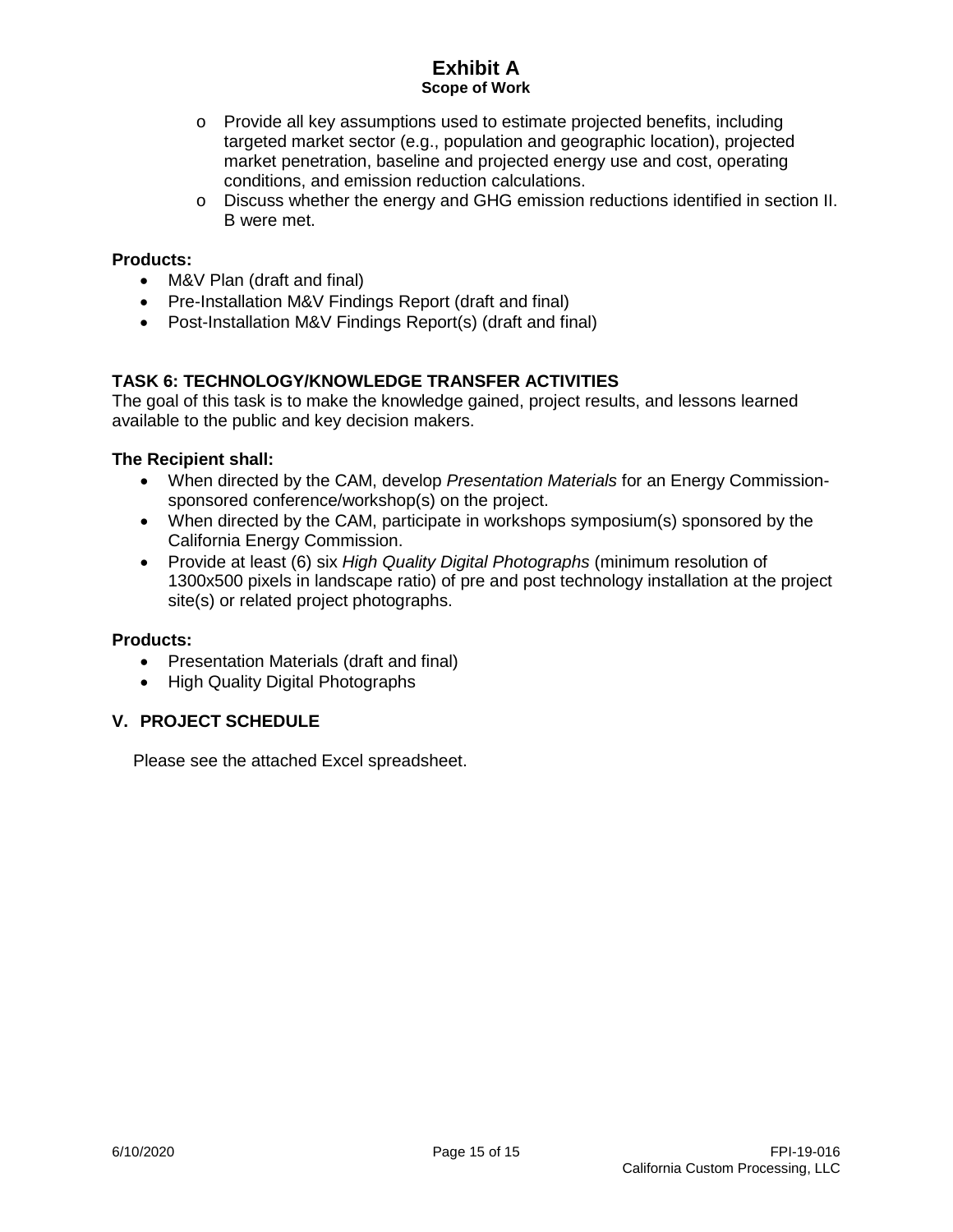- o Provide all key assumptions used to estimate projected benefits, including targeted market sector (e.g., population and geographic location), projected market penetration, baseline and projected energy use and cost, operating conditions, and emission reduction calculations.
- o Discuss whether the energy and GHG emission reductions identified in section II. B were met.

### **Products:**

- M&V Plan (draft and final)
- Pre-Installation M&V Findings Report (draft and final)
- Post-Installation M&V Findings Report(s) (draft and final)

# **TASK 6: TECHNOLOGY/KNOWLEDGE TRANSFER ACTIVITIES**

The goal of this task is to make the knowledge gained, project results, and lessons learned available to the public and key decision makers.

## **The Recipient shall:**

- When directed by the CAM, develop *Presentation Materials* for an Energy Commissionsponsored conference/workshop(s) on the project.
- When directed by the CAM, participate in workshops symposium(s) sponsored by the California Energy Commission.
- Provide at least (6) six *High Quality Digital Photographs* (minimum resolution of 1300x500 pixels in landscape ratio) of pre and post technology installation at the project site(s) or related project photographs.

### **Products:**

- Presentation Materials (draft and final)
- High Quality Digital Photographs

## **V. PROJECT SCHEDULE**

Please see the attached Excel spreadsheet.